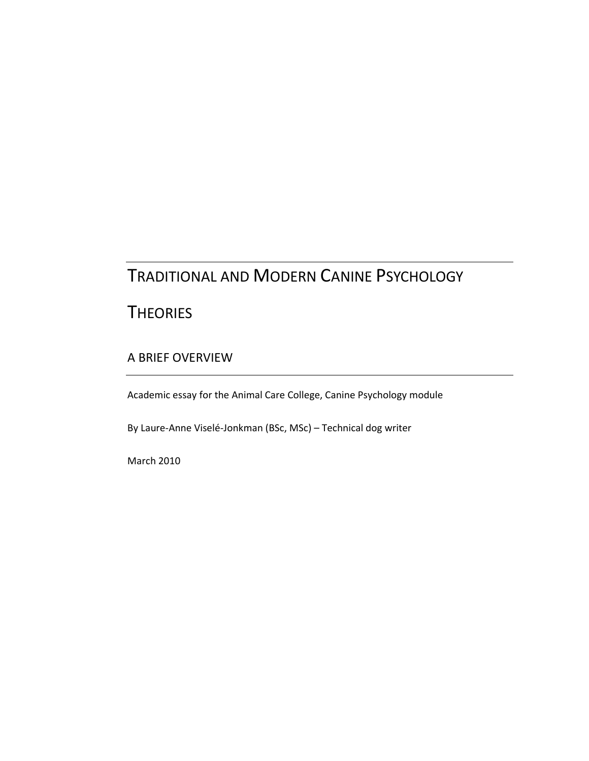# TRADITIONAL AND MODERN CANINE PSYCHOLOGY

# **THEORIES**

### A BRIEF OVERVIEW

Academic essay for the Animal Care College, Canine Psychology module

By Laure-Anne Viselé-Jonkman (BSc, MSc) – Technical dog writer

March 2010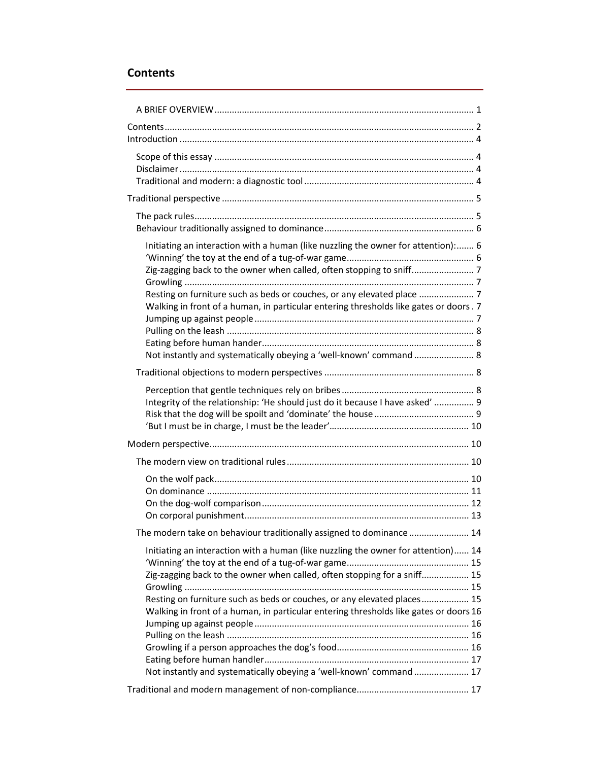## Contents

| Initiating an interaction with a human (like nuzzling the owner for attention): 6<br>Zig-zagging back to the owner when called, often stopping to sniff<br>Walking in front of a human, in particular entering thresholds like gates or doors. 7<br>Not instantly and systematically obeying a 'well-known' command  8                                                                                   |  |
|----------------------------------------------------------------------------------------------------------------------------------------------------------------------------------------------------------------------------------------------------------------------------------------------------------------------------------------------------------------------------------------------------------|--|
|                                                                                                                                                                                                                                                                                                                                                                                                          |  |
| Integrity of the relationship: 'He should just do it because I have asked'  9                                                                                                                                                                                                                                                                                                                            |  |
|                                                                                                                                                                                                                                                                                                                                                                                                          |  |
|                                                                                                                                                                                                                                                                                                                                                                                                          |  |
|                                                                                                                                                                                                                                                                                                                                                                                                          |  |
| The modern take on behaviour traditionally assigned to dominance  14                                                                                                                                                                                                                                                                                                                                     |  |
| Initiating an interaction with a human (like nuzzling the owner for attention) 14<br>Zig-zagging back to the owner when called, often stopping for a sniff 15<br>Resting on furniture such as beds or couches, or any elevated places 15<br>Walking in front of a human, in particular entering thresholds like gates or doors 16<br>Not instantly and systematically obeying a 'well-known' command  17 |  |
|                                                                                                                                                                                                                                                                                                                                                                                                          |  |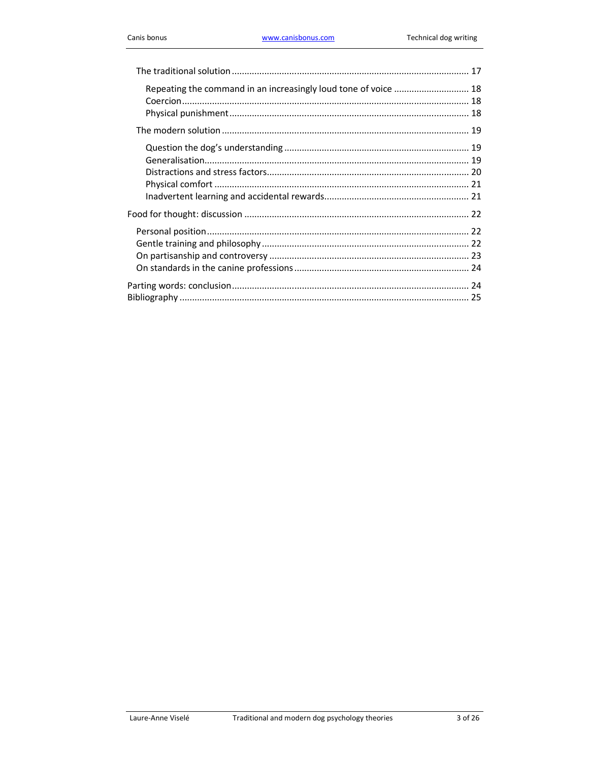| Repeating the command in an increasingly loud tone of voice  18 |  |
|-----------------------------------------------------------------|--|
|                                                                 |  |
|                                                                 |  |
|                                                                 |  |
|                                                                 |  |
|                                                                 |  |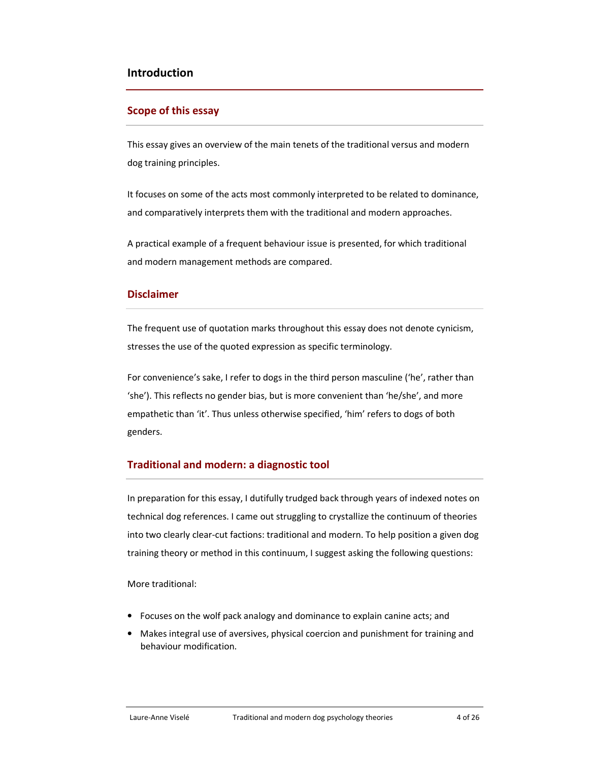### Introduction

### Scope of this essay

This essay gives an overview of the main tenets of the traditional versus and modern dog training principles.

It focuses on some of the acts most commonly interpreted to be related to dominance, and comparatively interprets them with the traditional and modern approaches.

A practical example of a frequent behaviour issue is presented, for which traditional and modern management methods are compared.

### **Disclaimer**

The frequent use of quotation marks throughout this essay does not denote cynicism, stresses the use of the quoted expression as specific terminology.

For convenience's sake, I refer to dogs in the third person masculine ('he', rather than 'she'). This reflects no gender bias, but is more convenient than 'he/she', and more empathetic than 'it'. Thus unless otherwise specified, 'him' refers to dogs of both genders.

### Traditional and modern: a diagnostic tool

In preparation for this essay, I dutifully trudged back through years of indexed notes on technical dog references. I came out struggling to crystallize the continuum of theories into two clearly clear-cut factions: traditional and modern. To help position a given dog training theory or method in this continuum, I suggest asking the following questions:

More traditional:

- Focuses on the wolf pack analogy and dominance to explain canine acts; and
- Makes integral use of aversives, physical coercion and punishment for training and behaviour modification.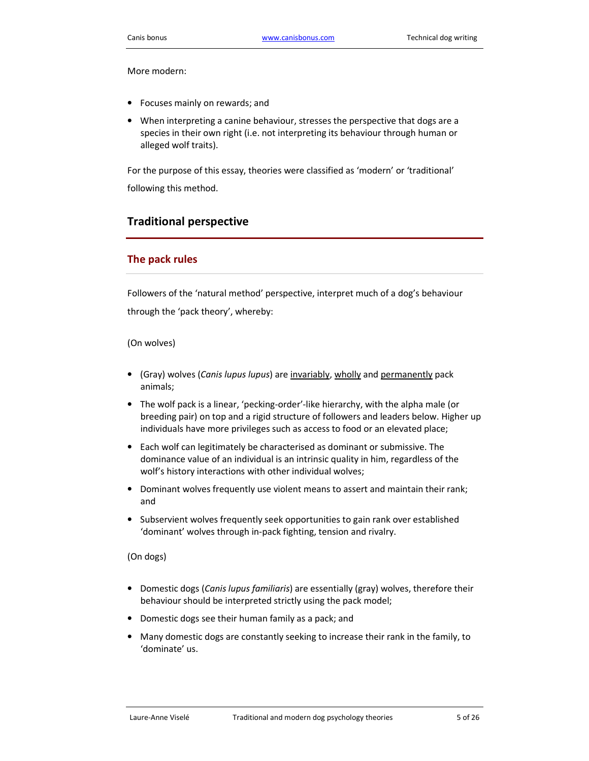More modern:

- Focuses mainly on rewards; and
- When interpreting a canine behaviour, stresses the perspective that dogs are a species in their own right (i.e. not interpreting its behaviour through human or alleged wolf traits).

For the purpose of this essay, theories were classified as 'modern' or 'traditional' following this method.

### Traditional perspective

#### The pack rules

Followers of the 'natural method' perspective, interpret much of a dog's behaviour through the 'pack theory', whereby:

#### (On wolves)

- (Gray) wolves (Canis lupus lupus) are invariably, wholly and permanently pack animals;
- The wolf pack is a linear, 'pecking-order'-like hierarchy, with the alpha male (or breeding pair) on top and a rigid structure of followers and leaders below. Higher up individuals have more privileges such as access to food or an elevated place;
- Each wolf can legitimately be characterised as dominant or submissive. The dominance value of an individual is an intrinsic quality in him, regardless of the wolf's history interactions with other individual wolves;
- Dominant wolves frequently use violent means to assert and maintain their rank; and
- Subservient wolves frequently seek opportunities to gain rank over established 'dominant' wolves through in-pack fighting, tension and rivalry.

#### (On dogs)

- Domestic dogs (Canis lupus familiaris) are essentially (gray) wolves, therefore their behaviour should be interpreted strictly using the pack model;
- Domestic dogs see their human family as a pack; and
- Many domestic dogs are constantly seeking to increase their rank in the family, to 'dominate' us.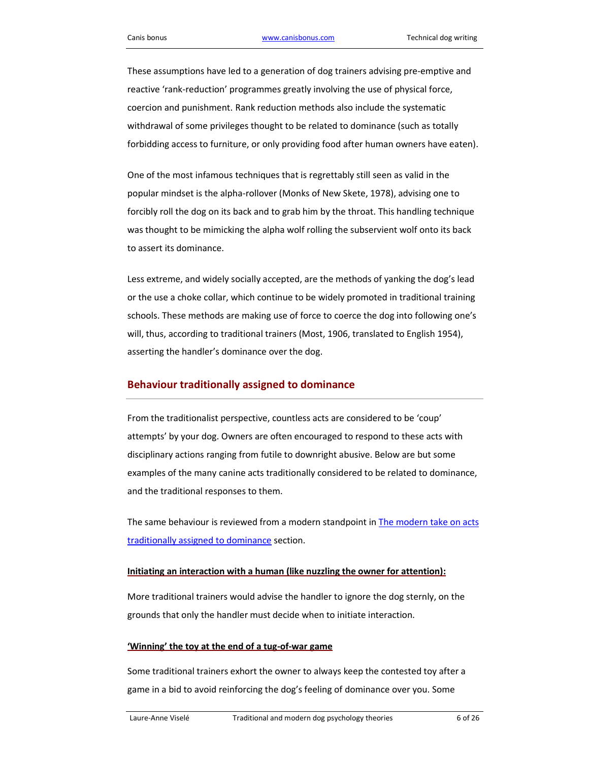These assumptions have led to a generation of dog trainers advising pre-emptive and reactive 'rank-reduction' programmes greatly involving the use of physical force, coercion and punishment. Rank reduction methods also include the systematic withdrawal of some privileges thought to be related to dominance (such as totally forbidding access to furniture, or only providing food after human owners have eaten).

One of the most infamous techniques that is regrettably still seen as valid in the popular mindset is the alpha-rollover (Monks of New Skete, 1978), advising one to forcibly roll the dog on its back and to grab him by the throat. This handling technique was thought to be mimicking the alpha wolf rolling the subservient wolf onto its back to assert its dominance.

Less extreme, and widely socially accepted, are the methods of yanking the dog's lead or the use a choke collar, which continue to be widely promoted in traditional training schools. These methods are making use of force to coerce the dog into following one's will, thus, according to traditional trainers (Most, 1906, translated to English 1954), asserting the handler's dominance over the dog.

### Behaviour traditionally assigned to dominance

From the traditionalist perspective, countless acts are considered to be 'coup' attempts' by your dog. Owners are often encouraged to respond to these acts with disciplinary actions ranging from futile to downright abusive. Below are but some examples of the many canine acts traditionally considered to be related to dominance, and the traditional responses to them.

The same behaviour is reviewed from a modern standpoint in The modern take on acts traditionally assigned to dominance section.

#### Initiating an interaction with a human (like nuzzling the owner for attention):

More traditional trainers would advise the handler to ignore the dog sternly, on the grounds that only the handler must decide when to initiate interaction.

#### 'Winning' the toy at the end of a tug-of-war game

Some traditional trainers exhort the owner to always keep the contested toy after a game in a bid to avoid reinforcing the dog's feeling of dominance over you. Some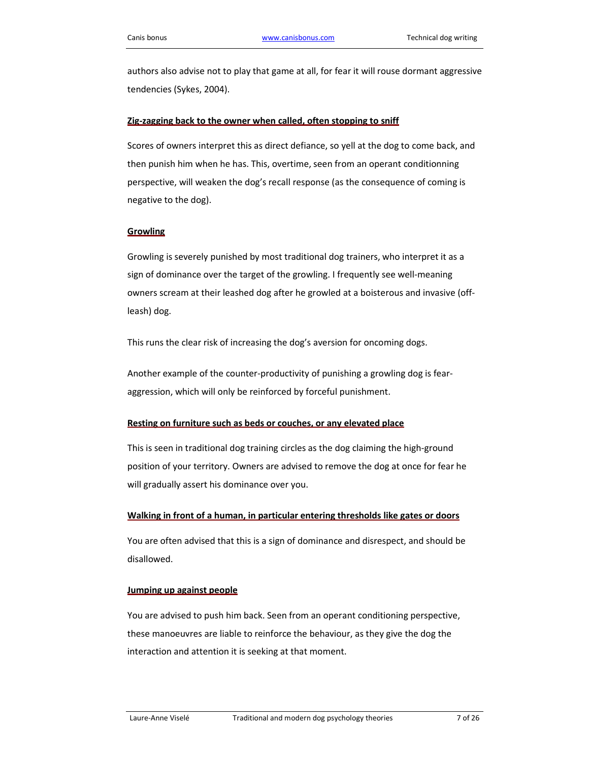authors also advise not to play that game at all, for fear it will rouse dormant aggressive tendencies (Sykes, 2004).

#### Zig-zagging back to the owner when called, often stopping to sniff

Scores of owners interpret this as direct defiance, so yell at the dog to come back, and then punish him when he has. This, overtime, seen from an operant conditionning perspective, will weaken the dog's recall response (as the consequence of coming is negative to the dog).

#### **Growling**

Growling is severely punished by most traditional dog trainers, who interpret it as a sign of dominance over the target of the growling. I frequently see well-meaning owners scream at their leashed dog after he growled at a boisterous and invasive (offleash) dog.

This runs the clear risk of increasing the dog's aversion for oncoming dogs.

Another example of the counter-productivity of punishing a growling dog is fearaggression, which will only be reinforced by forceful punishment.

#### Resting on furniture such as beds or couches, or any elevated place

This is seen in traditional dog training circles as the dog claiming the high-ground position of your territory. Owners are advised to remove the dog at once for fear he will gradually assert his dominance over you.

#### Walking in front of a human, in particular entering thresholds like gates or doors

You are often advised that this is a sign of dominance and disrespect, and should be disallowed.

#### Jumping up against people

You are advised to push him back. Seen from an operant conditioning perspective, these manoeuvres are liable to reinforce the behaviour, as they give the dog the interaction and attention it is seeking at that moment.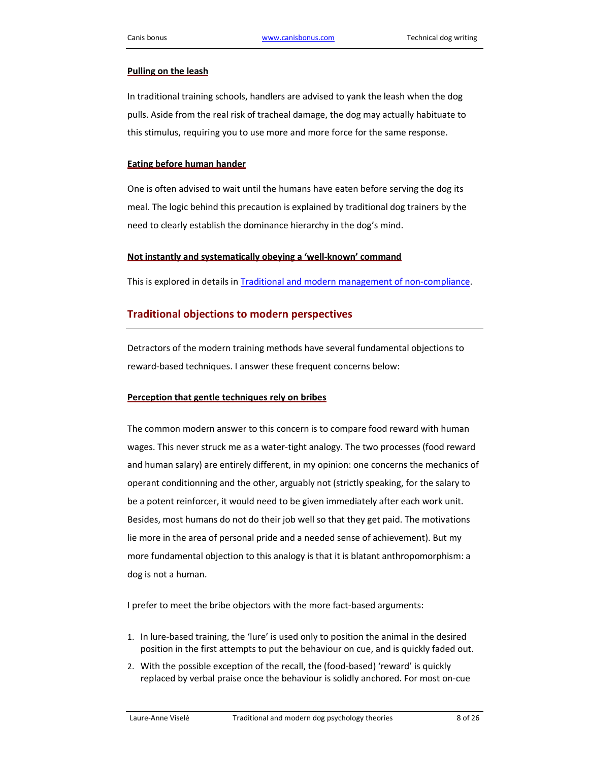#### Pulling on the leash

In traditional training schools, handlers are advised to yank the leash when the dog pulls. Aside from the real risk of tracheal damage, the dog may actually habituate to this stimulus, requiring you to use more and more force for the same response.

#### Eating before human hander

One is often advised to wait until the humans have eaten before serving the dog its meal. The logic behind this precaution is explained by traditional dog trainers by the need to clearly establish the dominance hierarchy in the dog's mind.

#### Not instantly and systematically obeying a 'well-known' command

This is explored in details in Traditional and modern management of non-compliance.

### Traditional objections to modern perspectives

Detractors of the modern training methods have several fundamental objections to reward-based techniques. I answer these frequent concerns below:

#### Perception that gentle techniques rely on bribes

The common modern answer to this concern is to compare food reward with human wages. This never struck me as a water-tight analogy. The two processes (food reward and human salary) are entirely different, in my opinion: one concerns the mechanics of operant conditionning and the other, arguably not (strictly speaking, for the salary to be a potent reinforcer, it would need to be given immediately after each work unit. Besides, most humans do not do their job well so that they get paid. The motivations lie more in the area of personal pride and a needed sense of achievement). But my more fundamental objection to this analogy is that it is blatant anthropomorphism: a dog is not a human.

I prefer to meet the bribe objectors with the more fact-based arguments:

- 1. In lure-based training, the 'lure' is used only to position the animal in the desired position in the first attempts to put the behaviour on cue, and is quickly faded out.
- 2. With the possible exception of the recall, the (food-based) 'reward' is quickly replaced by verbal praise once the behaviour is solidly anchored. For most on-cue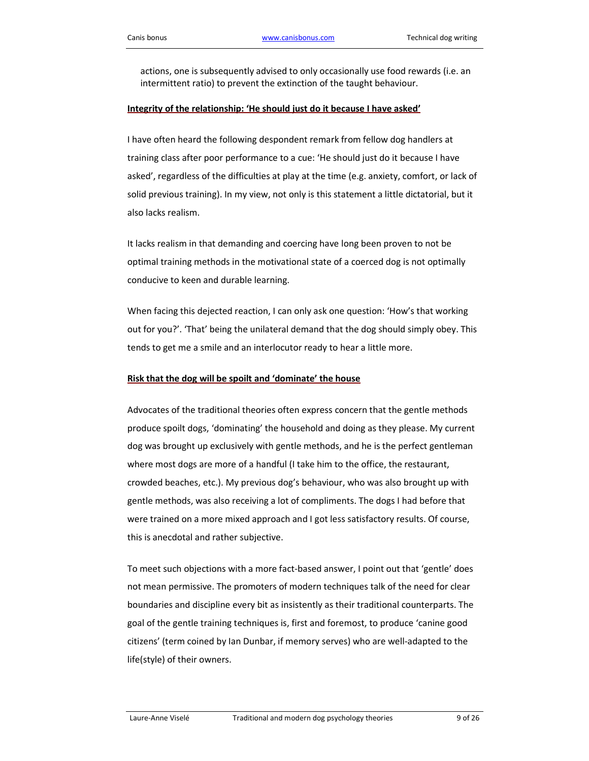actions, one is subsequently advised to only occasionally use food rewards (i.e. an intermittent ratio) to prevent the extinction of the taught behaviour.

#### Integrity of the relationship: 'He should just do it because I have asked'

I have often heard the following despondent remark from fellow dog handlers at training class after poor performance to a cue: 'He should just do it because I have asked', regardless of the difficulties at play at the time (e.g. anxiety, comfort, or lack of solid previous training). In my view, not only is this statement a little dictatorial, but it also lacks realism.

It lacks realism in that demanding and coercing have long been proven to not be optimal training methods in the motivational state of a coerced dog is not optimally conducive to keen and durable learning.

When facing this dejected reaction, I can only ask one question: 'How's that working out for you?'. 'That' being the unilateral demand that the dog should simply obey. This tends to get me a smile and an interlocutor ready to hear a little more.

#### Risk that the dog will be spoilt and 'dominate' the house

Advocates of the traditional theories often express concern that the gentle methods produce spoilt dogs, 'dominating' the household and doing as they please. My current dog was brought up exclusively with gentle methods, and he is the perfect gentleman where most dogs are more of a handful (I take him to the office, the restaurant, crowded beaches, etc.). My previous dog's behaviour, who was also brought up with gentle methods, was also receiving a lot of compliments. The dogs I had before that were trained on a more mixed approach and I got less satisfactory results. Of course, this is anecdotal and rather subjective.

To meet such objections with a more fact-based answer, I point out that 'gentle' does not mean permissive. The promoters of modern techniques talk of the need for clear boundaries and discipline every bit as insistently as their traditional counterparts. The goal of the gentle training techniques is, first and foremost, to produce 'canine good citizens' (term coined by Ian Dunbar, if memory serves) who are well-adapted to the life(style) of their owners.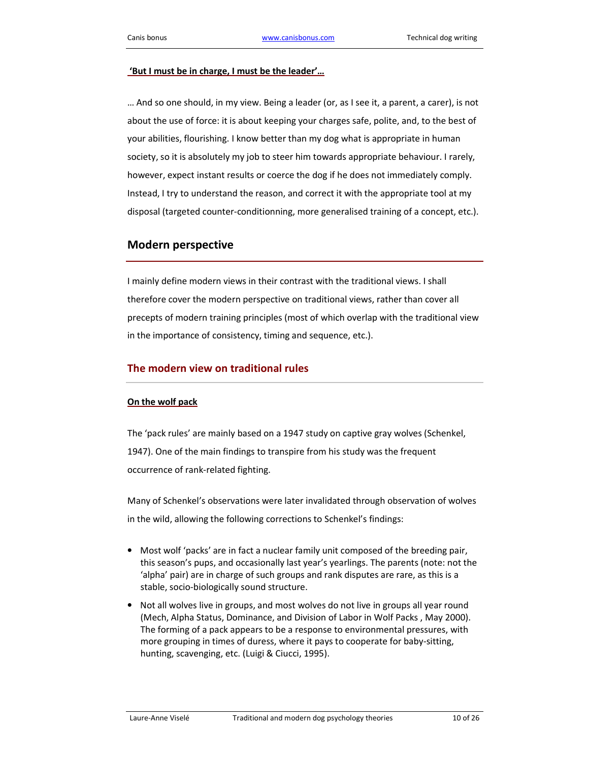#### 'But I must be in charge, I must be the leader'…

… And so one should, in my view. Being a leader (or, as I see it, a parent, a carer), is not about the use of force: it is about keeping your charges safe, polite, and, to the best of your abilities, flourishing. I know better than my dog what is appropriate in human society, so it is absolutely my job to steer him towards appropriate behaviour. I rarely, however, expect instant results or coerce the dog if he does not immediately comply. Instead, I try to understand the reason, and correct it with the appropriate tool at my disposal (targeted counter-conditionning, more generalised training of a concept, etc.).

### Modern perspective

I mainly define modern views in their contrast with the traditional views. I shall therefore cover the modern perspective on traditional views, rather than cover all precepts of modern training principles (most of which overlap with the traditional view in the importance of consistency, timing and sequence, etc.).

#### The modern view on traditional rules

### On the wolf pack

The 'pack rules' are mainly based on a 1947 study on captive gray wolves (Schenkel, 1947). One of the main findings to transpire from his study was the frequent occurrence of rank-related fighting.

Many of Schenkel's observations were later invalidated through observation of wolves in the wild, allowing the following corrections to Schenkel's findings:

- Most wolf 'packs' are in fact a nuclear family unit composed of the breeding pair, this season's pups, and occasionally last year's yearlings. The parents (note: not the 'alpha' pair) are in charge of such groups and rank disputes are rare, as this is a stable, socio-biologically sound structure.
- Not all wolves live in groups, and most wolves do not live in groups all year round (Mech, Alpha Status, Dominance, and Division of Labor in Wolf Packs , May 2000). The forming of a pack appears to be a response to environmental pressures, with more grouping in times of duress, where it pays to cooperate for baby-sitting, hunting, scavenging, etc. (Luigi & Ciucci, 1995).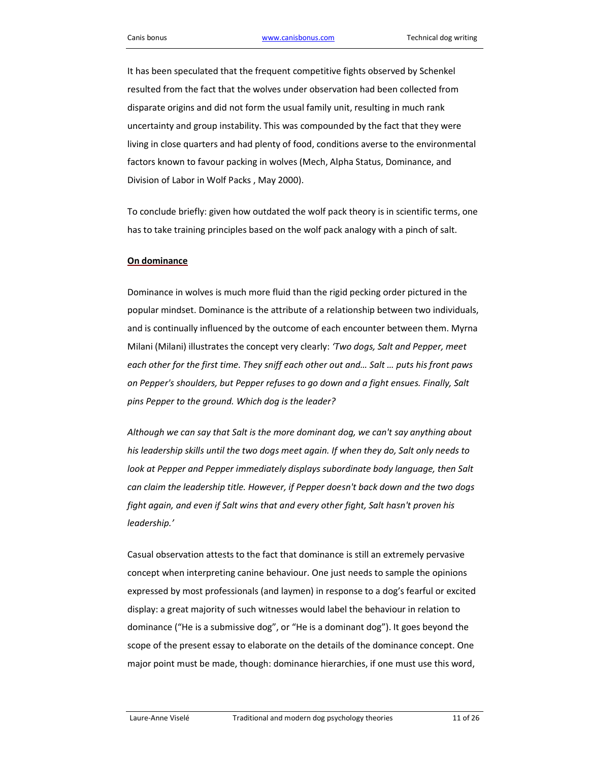It has been speculated that the frequent competitive fights observed by Schenkel resulted from the fact that the wolves under observation had been collected from disparate origins and did not form the usual family unit, resulting in much rank uncertainty and group instability. This was compounded by the fact that they were living in close quarters and had plenty of food, conditions averse to the environmental factors known to favour packing in wolves (Mech, Alpha Status, Dominance, and Division of Labor in Wolf Packs , May 2000).

To conclude briefly: given how outdated the wolf pack theory is in scientific terms, one has to take training principles based on the wolf pack analogy with a pinch of salt.

#### On dominance

Dominance in wolves is much more fluid than the rigid pecking order pictured in the popular mindset. Dominance is the attribute of a relationship between two individuals, and is continually influenced by the outcome of each encounter between them. Myrna Milani (Milani) illustrates the concept very clearly: 'Two dogs, Salt and Pepper, meet each other for the first time. They sniff each other out and… Salt … puts his front paws on Pepper's shoulders, but Pepper refuses to go down and a fight ensues. Finally, Salt pins Pepper to the ground. Which dog is the leader?

Although we can say that Salt is the more dominant dog, we can't say anything about his leadership skills until the two dogs meet again. If when they do, Salt only needs to look at Pepper and Pepper immediately displays subordinate body language, then Salt can claim the leadership title. However, if Pepper doesn't back down and the two dogs fight again, and even if Salt wins that and every other fight, Salt hasn't proven his leadership.'

Casual observation attests to the fact that dominance is still an extremely pervasive concept when interpreting canine behaviour. One just needs to sample the opinions expressed by most professionals (and laymen) in response to a dog's fearful or excited display: a great majority of such witnesses would label the behaviour in relation to dominance ("He is a submissive dog", or "He is a dominant dog"). It goes beyond the scope of the present essay to elaborate on the details of the dominance concept. One major point must be made, though: dominance hierarchies, if one must use this word,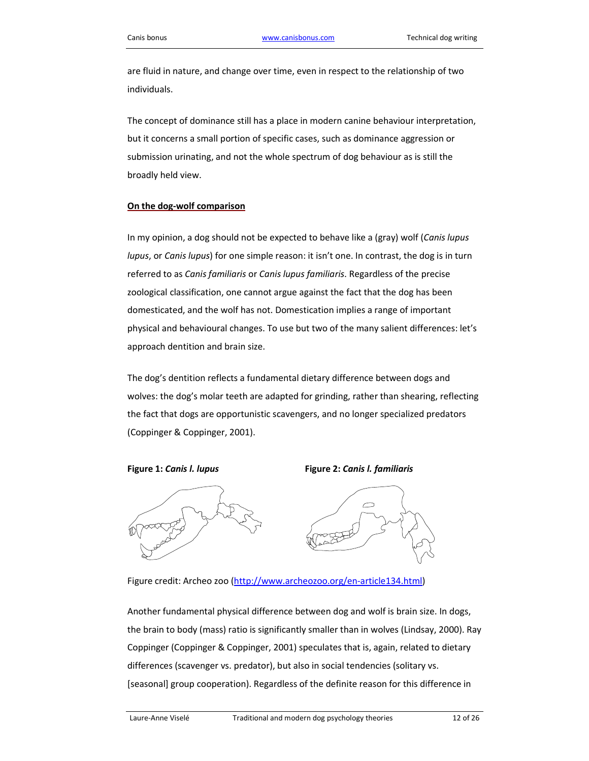are fluid in nature, and change over time, even in respect to the relationship of two individuals.

The concept of dominance still has a place in modern canine behaviour interpretation, but it concerns a small portion of specific cases, such as dominance aggression or submission urinating, and not the whole spectrum of dog behaviour as is still the broadly held view.

#### On the dog-wolf comparison

In my opinion, a dog should not be expected to behave like a (gray) wolf (Canis lupus lupus, or Canis lupus) for one simple reason: it isn't one. In contrast, the dog is in turn referred to as Canis familiaris or Canis lupus familiaris. Regardless of the precise zoological classification, one cannot argue against the fact that the dog has been domesticated, and the wolf has not. Domestication implies a range of important physical and behavioural changes. To use but two of the many salient differences: let's approach dentition and brain size.

The dog's dentition reflects a fundamental dietary difference between dogs and wolves: the dog's molar teeth are adapted for grinding, rather than shearing, reflecting the fact that dogs are opportunistic scavengers, and no longer specialized predators (Coppinger & Coppinger, 2001).



Figure 1: Canis I. lupus Figure 2: Canis I. familiaris



Figure credit: Archeo zoo (http://www.archeozoo.org/en-article134.html)

Another fundamental physical difference between dog and wolf is brain size. In dogs, the brain to body (mass) ratio is significantly smaller than in wolves (Lindsay, 2000). Ray Coppinger (Coppinger & Coppinger, 2001) speculates that is, again, related to dietary differences (scavenger vs. predator), but also in social tendencies (solitary vs. [seasonal] group cooperation). Regardless of the definite reason for this difference in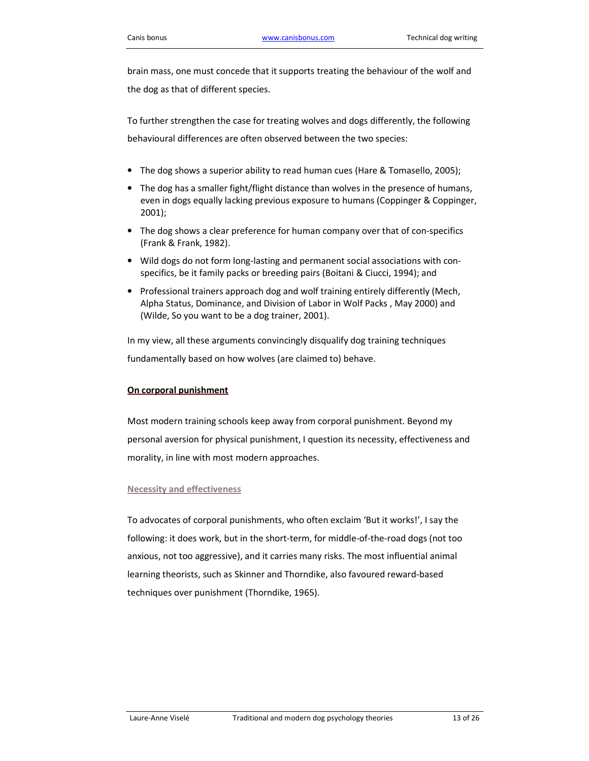brain mass, one must concede that it supports treating the behaviour of the wolf and the dog as that of different species.

To further strengthen the case for treating wolves and dogs differently, the following behavioural differences are often observed between the two species:

- The dog shows a superior ability to read human cues (Hare & Tomasello, 2005);
- The dog has a smaller fight/flight distance than wolves in the presence of humans, even in dogs equally lacking previous exposure to humans (Coppinger & Coppinger, 2001);
- The dog shows a clear preference for human company over that of con-specifics (Frank & Frank, 1982).
- Wild dogs do not form long-lasting and permanent social associations with conspecifics, be it family packs or breeding pairs (Boitani & Ciucci, 1994); and
- Professional trainers approach dog and wolf training entirely differently (Mech, Alpha Status, Dominance, and Division of Labor in Wolf Packs , May 2000) and (Wilde, So you want to be a dog trainer, 2001).

In my view, all these arguments convincingly disqualify dog training techniques fundamentally based on how wolves (are claimed to) behave.

#### On corporal punishment

Most modern training schools keep away from corporal punishment. Beyond my personal aversion for physical punishment, I question its necessity, effectiveness and morality, in line with most modern approaches.

#### Necessity and effectiveness

To advocates of corporal punishments, who often exclaim 'But it works!', I say the following: it does work, but in the short-term, for middle-of-the-road dogs (not too anxious, not too aggressive), and it carries many risks. The most influential animal learning theorists, such as Skinner and Thorndike, also favoured reward-based techniques over punishment (Thorndike, 1965).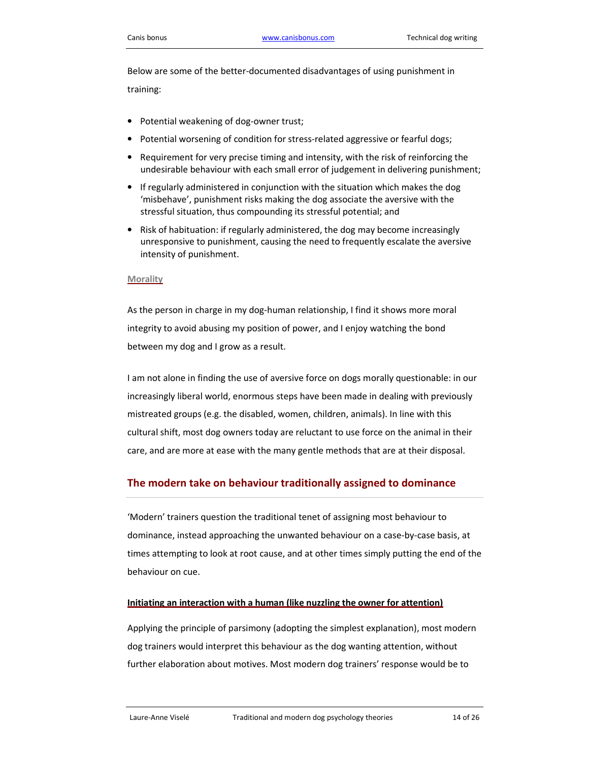Below are some of the better-documented disadvantages of using punishment in training:

- Potential weakening of dog-owner trust;
- Potential worsening of condition for stress-related aggressive or fearful dogs;
- Requirement for very precise timing and intensity, with the risk of reinforcing the undesirable behaviour with each small error of judgement in delivering punishment;
- If regularly administered in conjunction with the situation which makes the dog 'misbehave', punishment risks making the dog associate the aversive with the stressful situation, thus compounding its stressful potential; and
- Risk of habituation: if regularly administered, the dog may become increasingly unresponsive to punishment, causing the need to frequently escalate the aversive intensity of punishment.

#### **Morality**

As the person in charge in my dog-human relationship, I find it shows more moral integrity to avoid abusing my position of power, and I enjoy watching the bond between my dog and I grow as a result.

I am not alone in finding the use of aversive force on dogs morally questionable: in our increasingly liberal world, enormous steps have been made in dealing with previously mistreated groups (e.g. the disabled, women, children, animals). In line with this cultural shift, most dog owners today are reluctant to use force on the animal in their care, and are more at ease with the many gentle methods that are at their disposal.

### The modern take on behaviour traditionally assigned to dominance

'Modern' trainers question the traditional tenet of assigning most behaviour to dominance, instead approaching the unwanted behaviour on a case-by-case basis, at times attempting to look at root cause, and at other times simply putting the end of the behaviour on cue.

#### Initiating an interaction with a human (like nuzzling the owner for attention)

Applying the principle of parsimony (adopting the simplest explanation), most modern dog trainers would interpret this behaviour as the dog wanting attention, without further elaboration about motives. Most modern dog trainers' response would be to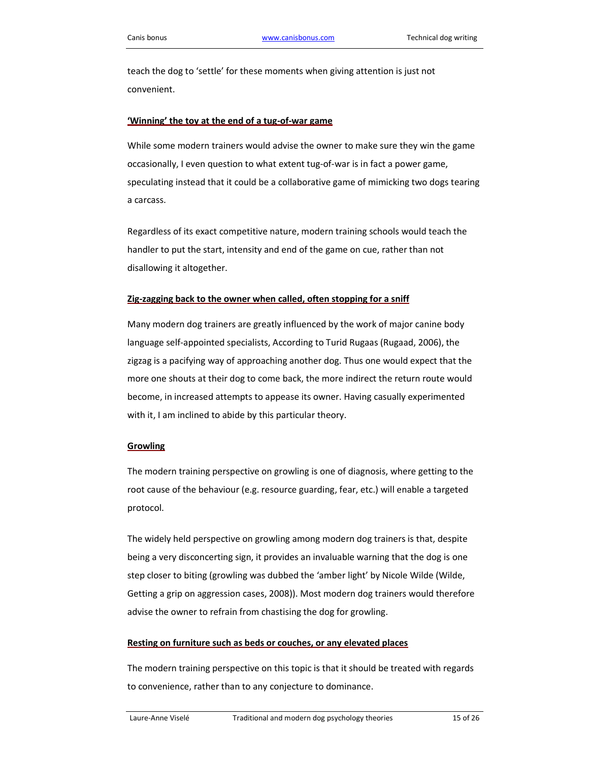teach the dog to 'settle' for these moments when giving attention is just not convenient.

#### 'Winning' the toy at the end of a tug-of-war game

While some modern trainers would advise the owner to make sure they win the game occasionally, I even question to what extent tug-of-war is in fact a power game, speculating instead that it could be a collaborative game of mimicking two dogs tearing a carcass.

Regardless of its exact competitive nature, modern training schools would teach the handler to put the start, intensity and end of the game on cue, rather than not disallowing it altogether.

#### Zig-zagging back to the owner when called, often stopping for a sniff

Many modern dog trainers are greatly influenced by the work of major canine body language self-appointed specialists, According to Turid Rugaas (Rugaad, 2006), the zigzag is a pacifying way of approaching another dog. Thus one would expect that the more one shouts at their dog to come back, the more indirect the return route would become, in increased attempts to appease its owner. Having casually experimented with it, I am inclined to abide by this particular theory.

#### **Growling**

The modern training perspective on growling is one of diagnosis, where getting to the root cause of the behaviour (e.g. resource guarding, fear, etc.) will enable a targeted protocol.

The widely held perspective on growling among modern dog trainers is that, despite being a very disconcerting sign, it provides an invaluable warning that the dog is one step closer to biting (growling was dubbed the 'amber light' by Nicole Wilde (Wilde, Getting a grip on aggression cases, 2008)). Most modern dog trainers would therefore advise the owner to refrain from chastising the dog for growling.

#### Resting on furniture such as beds or couches, or any elevated places

The modern training perspective on this topic is that it should be treated with regards to convenience, rather than to any conjecture to dominance.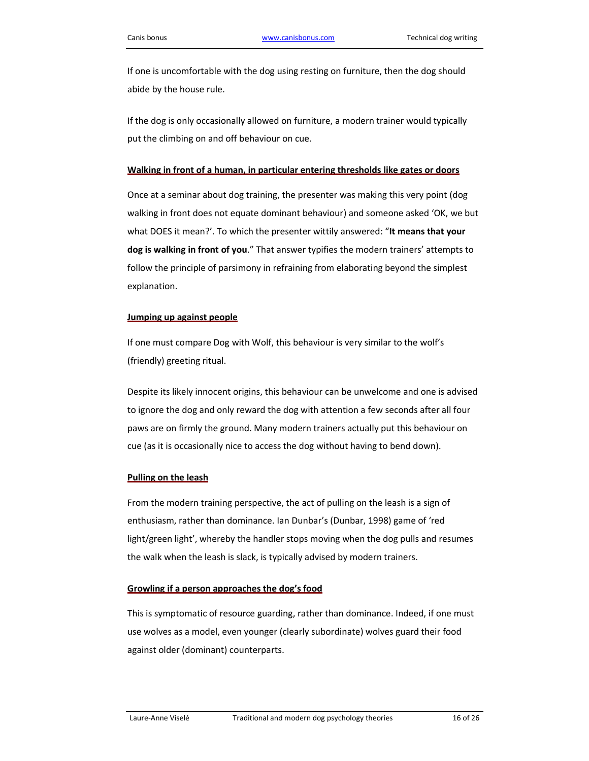If one is uncomfortable with the dog using resting on furniture, then the dog should abide by the house rule.

If the dog is only occasionally allowed on furniture, a modern trainer would typically put the climbing on and off behaviour on cue.

#### Walking in front of a human, in particular entering thresholds like gates or doors

Once at a seminar about dog training, the presenter was making this very point (dog walking in front does not equate dominant behaviour) and someone asked 'OK, we but what DOES it mean?'. To which the presenter wittily answered: "It means that your dog is walking in front of you." That answer typifies the modern trainers' attempts to follow the principle of parsimony in refraining from elaborating beyond the simplest explanation.

#### Jumping up against people

If one must compare Dog with Wolf, this behaviour is very similar to the wolf's (friendly) greeting ritual.

Despite its likely innocent origins, this behaviour can be unwelcome and one is advised to ignore the dog and only reward the dog with attention a few seconds after all four paws are on firmly the ground. Many modern trainers actually put this behaviour on cue (as it is occasionally nice to access the dog without having to bend down).

#### Pulling on the leash

From the modern training perspective, the act of pulling on the leash is a sign of enthusiasm, rather than dominance. Ian Dunbar's (Dunbar, 1998) game of 'red light/green light', whereby the handler stops moving when the dog pulls and resumes the walk when the leash is slack, is typically advised by modern trainers.

#### Growling if a person approaches the dog's food

This is symptomatic of resource guarding, rather than dominance. Indeed, if one must use wolves as a model, even younger (clearly subordinate) wolves guard their food against older (dominant) counterparts.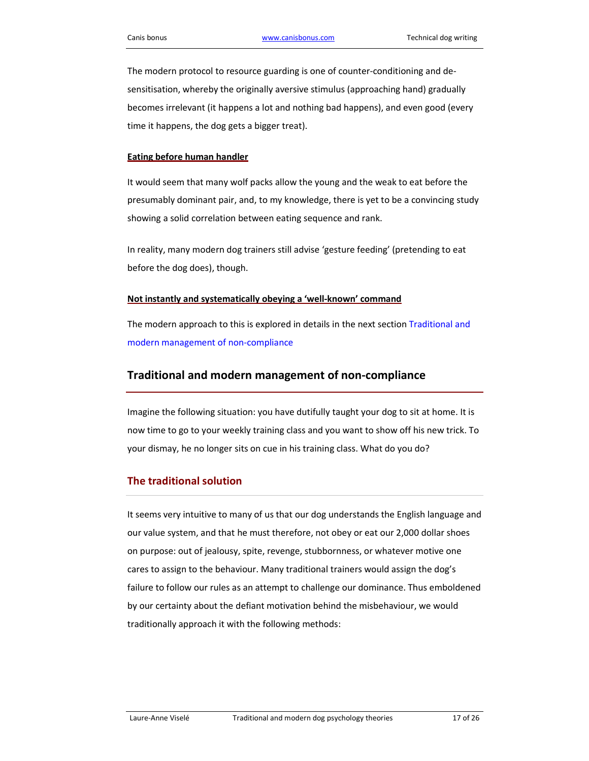The modern protocol to resource guarding is one of counter-conditioning and desensitisation, whereby the originally aversive stimulus (approaching hand) gradually becomes irrelevant (it happens a lot and nothing bad happens), and even good (every time it happens, the dog gets a bigger treat).

#### Eating before human handler

It would seem that many wolf packs allow the young and the weak to eat before the presumably dominant pair, and, to my knowledge, there is yet to be a convincing study showing a solid correlation between eating sequence and rank.

In reality, many modern dog trainers still advise 'gesture feeding' (pretending to eat before the dog does), though.

#### Not instantly and systematically obeying a 'well-known' command

The modern approach to this is explored in details in the next section Traditional and modern management of non-compliance

### Traditional and modern management of non-compliance

Imagine the following situation: you have dutifully taught your dog to sit at home. It is now time to go to your weekly training class and you want to show off his new trick. To your dismay, he no longer sits on cue in his training class. What do you do?

### The traditional solution

It seems very intuitive to many of us that our dog understands the English language and our value system, and that he must therefore, not obey or eat our 2,000 dollar shoes on purpose: out of jealousy, spite, revenge, stubbornness, or whatever motive one cares to assign to the behaviour. Many traditional trainers would assign the dog's failure to follow our rules as an attempt to challenge our dominance. Thus emboldened by our certainty about the defiant motivation behind the misbehaviour, we would traditionally approach it with the following methods: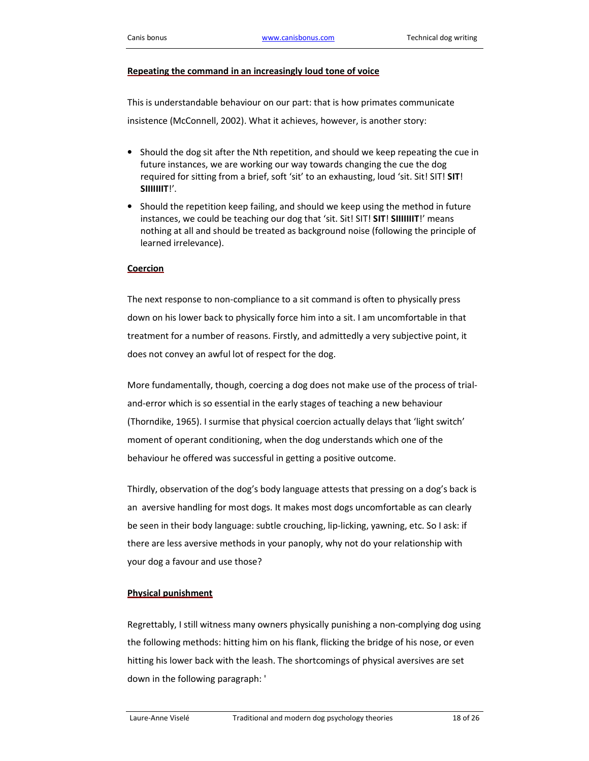#### Repeating the command in an increasingly loud tone of voice

This is understandable behaviour on our part: that is how primates communicate insistence (McConnell, 2002). What it achieves, however, is another story:

- Should the dog sit after the Nth repetition, and should we keep repeating the cue in future instances, we are working our way towards changing the cue the dog required for sitting from a brief, soft 'sit' to an exhausting, loud 'sit. Sit! SIT! SIT! SIIIIIIIT!'.
- Should the repetition keep failing, and should we keep using the method in future instances, we could be teaching our dog that 'sit. Sit! SIT! SIT! SIIIIIIT!' means nothing at all and should be treated as background noise (following the principle of learned irrelevance).

#### **Coercion**

The next response to non-compliance to a sit command is often to physically press down on his lower back to physically force him into a sit. I am uncomfortable in that treatment for a number of reasons. Firstly, and admittedly a very subjective point, it does not convey an awful lot of respect for the dog.

More fundamentally, though, coercing a dog does not make use of the process of trialand-error which is so essential in the early stages of teaching a new behaviour (Thorndike, 1965). I surmise that physical coercion actually delays that 'light switch' moment of operant conditioning, when the dog understands which one of the behaviour he offered was successful in getting a positive outcome.

Thirdly, observation of the dog's body language attests that pressing on a dog's back is an aversive handling for most dogs. It makes most dogs uncomfortable as can clearly be seen in their body language: subtle crouching, lip-licking, yawning, etc. So I ask: if there are less aversive methods in your panoply, why not do your relationship with your dog a favour and use those?

#### Physical punishment

Regrettably, I still witness many owners physically punishing a non-complying dog using the following methods: hitting him on his flank, flicking the bridge of his nose, or even hitting his lower back with the leash. The shortcomings of physical aversives are set down in the following paragraph: '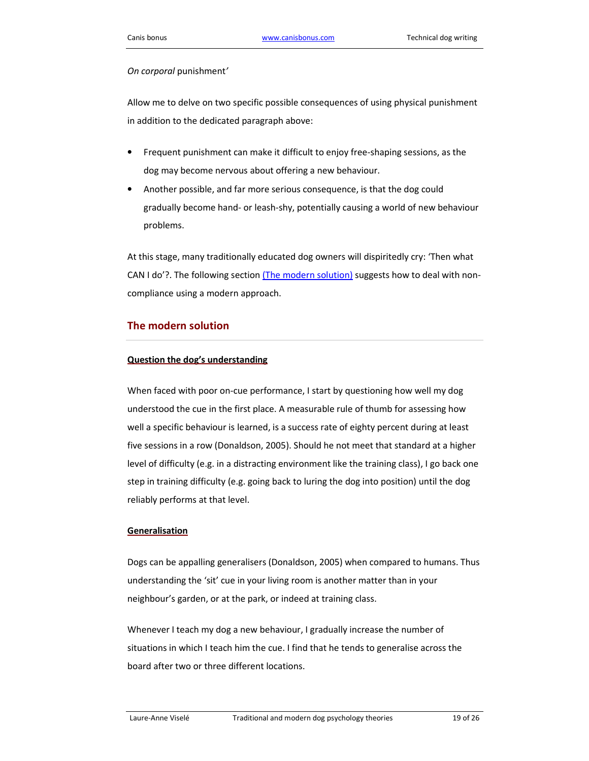#### On corporal punishment'

Allow me to delve on two specific possible consequences of using physical punishment in addition to the dedicated paragraph above:

- Frequent punishment can make it difficult to enjoy free-shaping sessions, as the dog may become nervous about offering a new behaviour.
- Another possible, and far more serious consequence, is that the dog could gradually become hand- or leash-shy, potentially causing a world of new behaviour problems.

At this stage, many traditionally educated dog owners will dispiritedly cry: 'Then what CAN I do'?. The following section (The modern solution) suggests how to deal with noncompliance using a modern approach.

#### The modern solution

#### Question the dog's understanding

When faced with poor on-cue performance, I start by questioning how well my dog understood the cue in the first place. A measurable rule of thumb for assessing how well a specific behaviour is learned, is a success rate of eighty percent during at least five sessions in a row (Donaldson, 2005). Should he not meet that standard at a higher level of difficulty (e.g. in a distracting environment like the training class), I go back one step in training difficulty (e.g. going back to luring the dog into position) until the dog reliably performs at that level.

#### Generalisation

Dogs can be appalling generalisers (Donaldson, 2005) when compared to humans. Thus understanding the 'sit' cue in your living room is another matter than in your neighbour's garden, or at the park, or indeed at training class.

Whenever I teach my dog a new behaviour, I gradually increase the number of situations in which I teach him the cue. I find that he tends to generalise across the board after two or three different locations.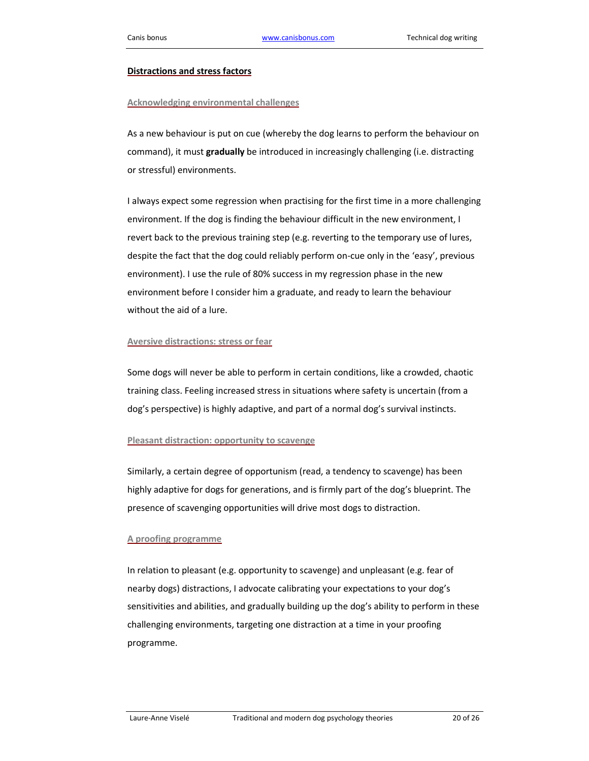#### Distractions and stress factors

#### Acknowledging environmental challenges

As a new behaviour is put on cue (whereby the dog learns to perform the behaviour on command), it must *gradually* be introduced in increasingly challenging (i.e. distracting or stressful) environments.

I always expect some regression when practising for the first time in a more challenging environment. If the dog is finding the behaviour difficult in the new environment, I revert back to the previous training step (e.g. reverting to the temporary use of lures, despite the fact that the dog could reliably perform on-cue only in the 'easy', previous environment). I use the rule of 80% success in my regression phase in the new environment before I consider him a graduate, and ready to learn the behaviour without the aid of a lure.

#### Aversive distractions: stress or fear

Some dogs will never be able to perform in certain conditions, like a crowded, chaotic training class. Feeling increased stress in situations where safety is uncertain (from a dog's perspective) is highly adaptive, and part of a normal dog's survival instincts.

#### Pleasant distraction: opportunity to scavenge

Similarly, a certain degree of opportunism (read, a tendency to scavenge) has been highly adaptive for dogs for generations, and is firmly part of the dog's blueprint. The presence of scavenging opportunities will drive most dogs to distraction.

#### A proofing programme

In relation to pleasant (e.g. opportunity to scavenge) and unpleasant (e.g. fear of nearby dogs) distractions, I advocate calibrating your expectations to your dog's sensitivities and abilities, and gradually building up the dog's ability to perform in these challenging environments, targeting one distraction at a time in your proofing programme.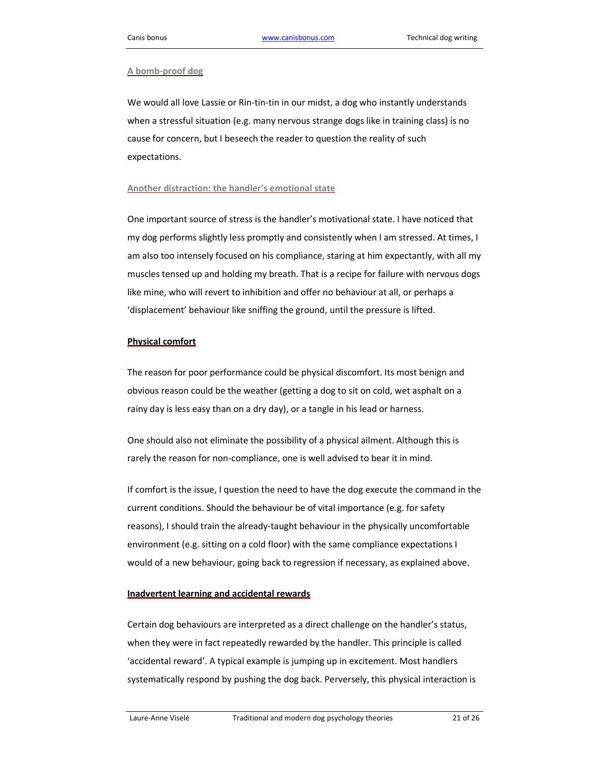#### A bomb-proof dog

We would all love Lassie or Rin-tin-tin in our midst, a dog who instantly understands when a stressful situation (e.g. many nervous strange dogs like in training class) is no cause for concern, but I beseech the reader to question the reality of such expectations.

#### Another distraction: the handler's emotional state

One important source of stress is the handler's motivational state. I have noticed that my dog performs slightly less promptly and consistently when I am stressed. At times, I am also too intensely focused on his compliance, staring at him expectantly, with all my muscles tensed up and holding my breath. That is a recipe for failure with nervous dogs like mine, who will revert to inhibition and offer no behaviour at all, or perhaps a 'displacement' behaviour like sniffing the ground, until the pressure is lifted.

#### Physical comfort

The reason for poor performance could be physical discomfort. Its most benign and obvious reason could be the weather (getting a dog to sit on cold, wet asphalt on a rainy day is less easy than on a dry day), or a tangle in his lead or harness.

One should also not eliminate the possibility of a physical ailment. Although this is rarely the reason for non-compliance, one is well advised to bear it in mind.

If comfort is the issue, I question the need to have the dog execute the command in the current conditions. Should the behaviour be of vital importance (e.g. for safety reasons), I should train the already-taught behaviour in the physically uncomfortable environment (e.g. sitting on a cold floor) with the same compliance expectations I would of a new behaviour, going back to regression if necessary, as explained above.

#### Inadvertent learning and accidental rewards

Certain dog behaviours are interpreted as a direct challenge on the handler's status, when they were in fact repeatedly rewarded by the handler. This principle is called 'accidental reward'. A typical example is jumping up in excitement. Most handlers systematically respond by pushing the dog back. Perversely, this physical interaction is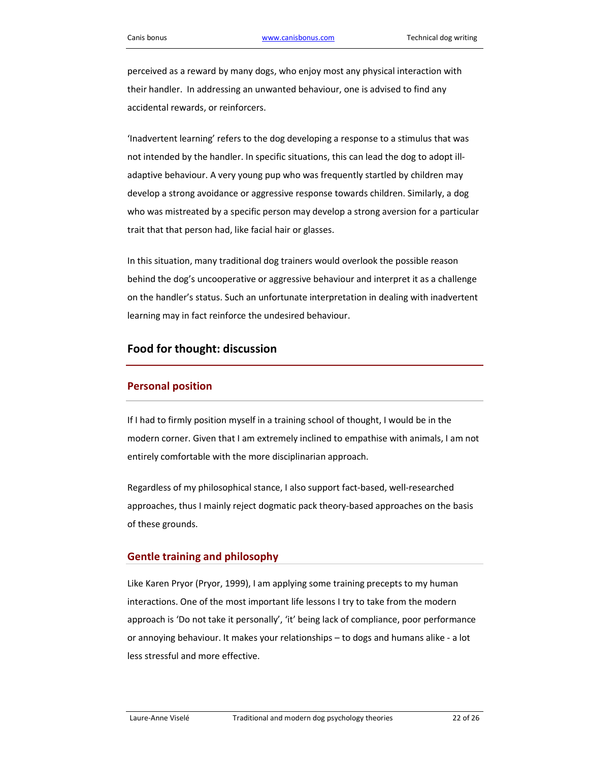perceived as a reward by many dogs, who enjoy most any physical interaction with their handler. In addressing an unwanted behaviour, one is advised to find any accidental rewards, or reinforcers.

'Inadvertent learning' refers to the dog developing a response to a stimulus that was not intended by the handler. In specific situations, this can lead the dog to adopt illadaptive behaviour. A very young pup who was frequently startled by children may develop a strong avoidance or aggressive response towards children. Similarly, a dog who was mistreated by a specific person may develop a strong aversion for a particular trait that that person had, like facial hair or glasses.

In this situation, many traditional dog trainers would overlook the possible reason behind the dog's uncooperative or aggressive behaviour and interpret it as a challenge on the handler's status. Such an unfortunate interpretation in dealing with inadvertent learning may in fact reinforce the undesired behaviour.

### Food for thought: discussion

### Personal position

If I had to firmly position myself in a training school of thought, I would be in the modern corner. Given that I am extremely inclined to empathise with animals, I am not entirely comfortable with the more disciplinarian approach.

Regardless of my philosophical stance, I also support fact-based, well-researched approaches, thus I mainly reject dogmatic pack theory-based approaches on the basis of these grounds.

#### Gentle training and philosophy

Like Karen Pryor (Pryor, 1999), I am applying some training precepts to my human interactions. One of the most important life lessons I try to take from the modern approach is 'Do not take it personally', 'it' being lack of compliance, poor performance or annoying behaviour. It makes your relationships – to dogs and humans alike - a lot less stressful and more effective.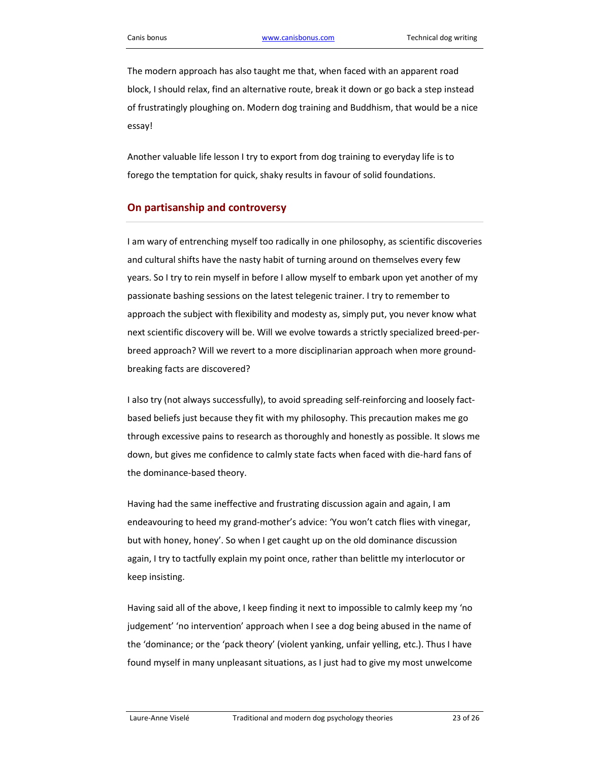The modern approach has also taught me that, when faced with an apparent road block, I should relax, find an alternative route, break it down or go back a step instead of frustratingly ploughing on. Modern dog training and Buddhism, that would be a nice essay!

Another valuable life lesson I try to export from dog training to everyday life is to forego the temptation for quick, shaky results in favour of solid foundations.

### On partisanship and controversy

I am wary of entrenching myself too radically in one philosophy, as scientific discoveries and cultural shifts have the nasty habit of turning around on themselves every few years. So I try to rein myself in before I allow myself to embark upon yet another of my passionate bashing sessions on the latest telegenic trainer. I try to remember to approach the subject with flexibility and modesty as, simply put, you never know what next scientific discovery will be. Will we evolve towards a strictly specialized breed-perbreed approach? Will we revert to a more disciplinarian approach when more groundbreaking facts are discovered?

I also try (not always successfully), to avoid spreading self-reinforcing and loosely factbased beliefs just because they fit with my philosophy. This precaution makes me go through excessive pains to research as thoroughly and honestly as possible. It slows me down, but gives me confidence to calmly state facts when faced with die-hard fans of the dominance-based theory.

Having had the same ineffective and frustrating discussion again and again, I am endeavouring to heed my grand-mother's advice: 'You won't catch flies with vinegar, but with honey, honey'. So when I get caught up on the old dominance discussion again, I try to tactfully explain my point once, rather than belittle my interlocutor or keep insisting.

Having said all of the above, I keep finding it next to impossible to calmly keep my 'no judgement' 'no intervention' approach when I see a dog being abused in the name of the 'dominance; or the 'pack theory' (violent yanking, unfair yelling, etc.). Thus I have found myself in many unpleasant situations, as I just had to give my most unwelcome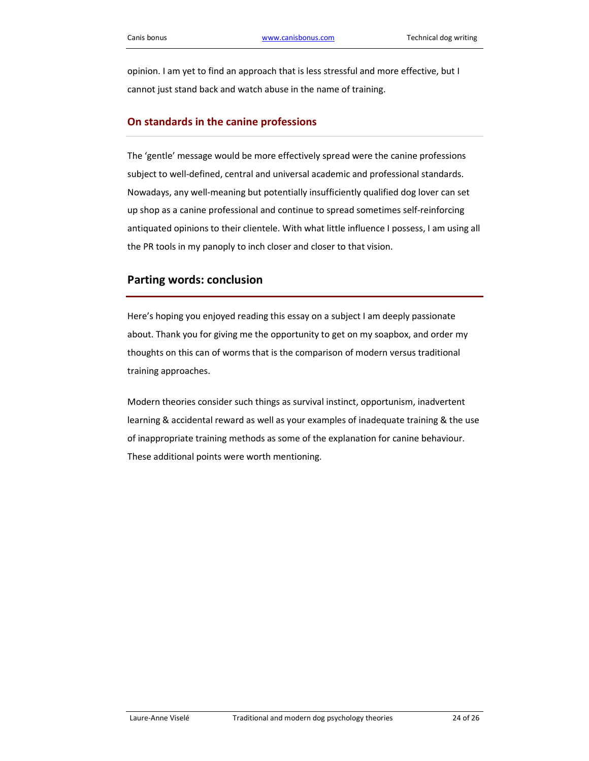opinion. I am yet to find an approach that is less stressful and more effective, but I cannot just stand back and watch abuse in the name of training.

#### On standards in the canine professions

The 'gentle' message would be more effectively spread were the canine professions subject to well-defined, central and universal academic and professional standards. Nowadays, any well-meaning but potentially insufficiently qualified dog lover can set up shop as a canine professional and continue to spread sometimes self-reinforcing antiquated opinions to their clientele. With what little influence I possess, I am using all the PR tools in my panoply to inch closer and closer to that vision.

### Parting words: conclusion

Here's hoping you enjoyed reading this essay on a subject I am deeply passionate about. Thank you for giving me the opportunity to get on my soapbox, and order my thoughts on this can of worms that is the comparison of modern versus traditional training approaches.

Modern theories consider such things as survival instinct, opportunism, inadvertent learning & accidental reward as well as your examples of inadequate training & the use of inappropriate training methods as some of the explanation for canine behaviour. These additional points were worth mentioning.